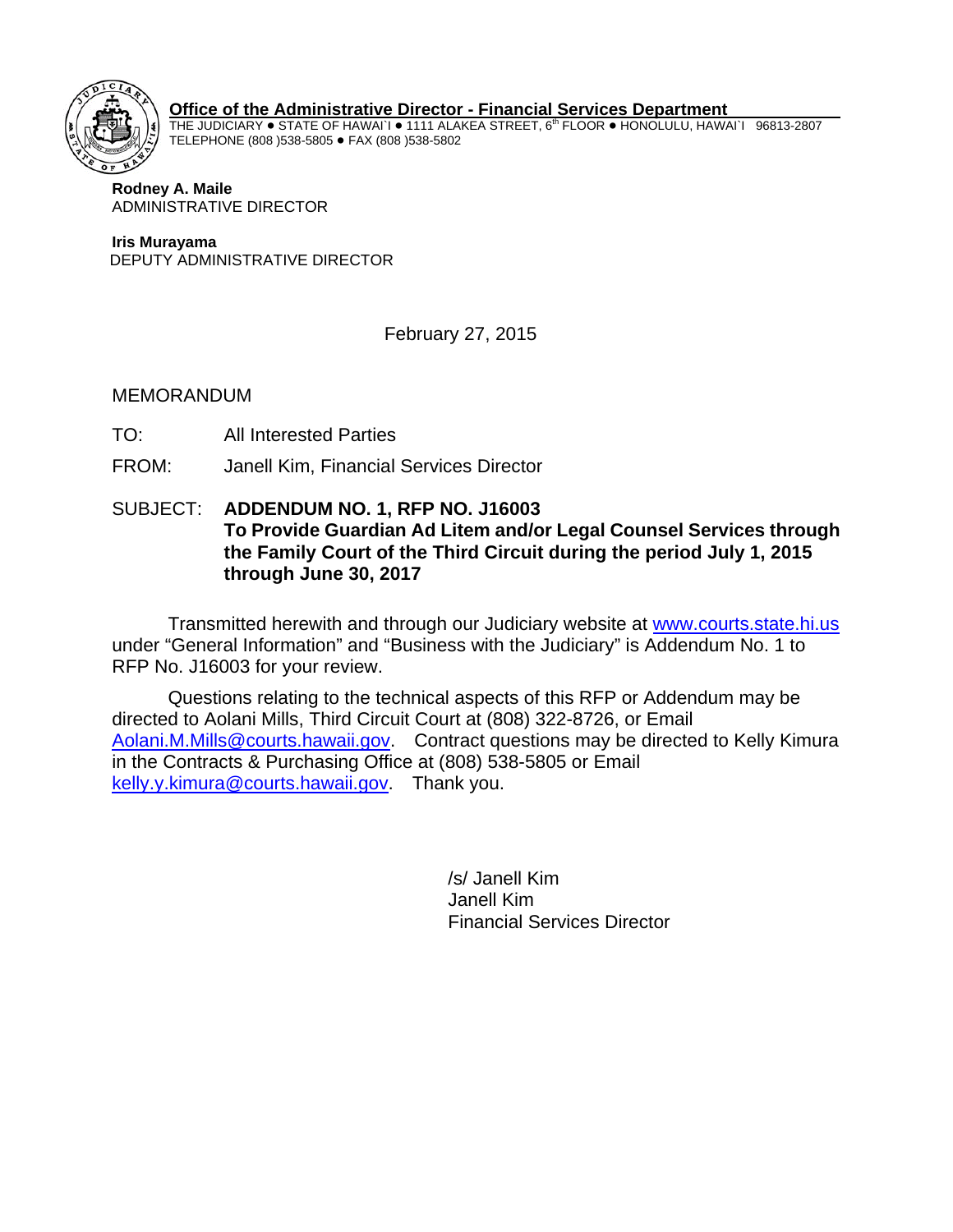

 **Office of the Administrative Director - Financial Services Department**

THE JUDICIARY  $\bullet$  STATE OF HAWAI`I  $\bullet$  1111 ALAKEA STREET, 6<sup>th</sup> FLOOR  $\bullet$  HONOLULU, HAWAI`I 96813-2807 TELEPHONE (808 )538-5805 · FAX (808 )538-5802

 **Rodney A. Maile**  ADMINISTRATIVE DIRECTOR

**Iris Murayama** DEPUTY ADMINISTRATIVE DIRECTOR

February 27, 2015

MEMORANDUM

- TO: All Interested Parties
- FROM: Janell Kim, Financial Services Director
- SUBJECT: **ADDENDUM NO. 1, RFP NO. J16003 To Provide Guardian Ad Litem and/or Legal Counsel Services through the Family Court of the Third Circuit during the period July 1, 2015 through June 30, 2017**

Transmitted herewith and through our Judiciary website at www.courts.state.hi.us under "General Information" and "Business with the Judiciary" is Addendum No. 1 to RFP No. J16003 for your review.

Questions relating to the technical aspects of this RFP or Addendum may be directed to Aolani Mills, Third Circuit Court at (808) 322-8726, or Email Aolani.M.Mills@courts.hawaii.gov. Contract questions may be directed to Kelly Kimura in the Contracts & Purchasing Office at (808) 538-5805 or Email kelly.y.kimura@courts.hawaii.gov. Thank you.

> /s/ Janell Kim Janell Kim Financial Services Director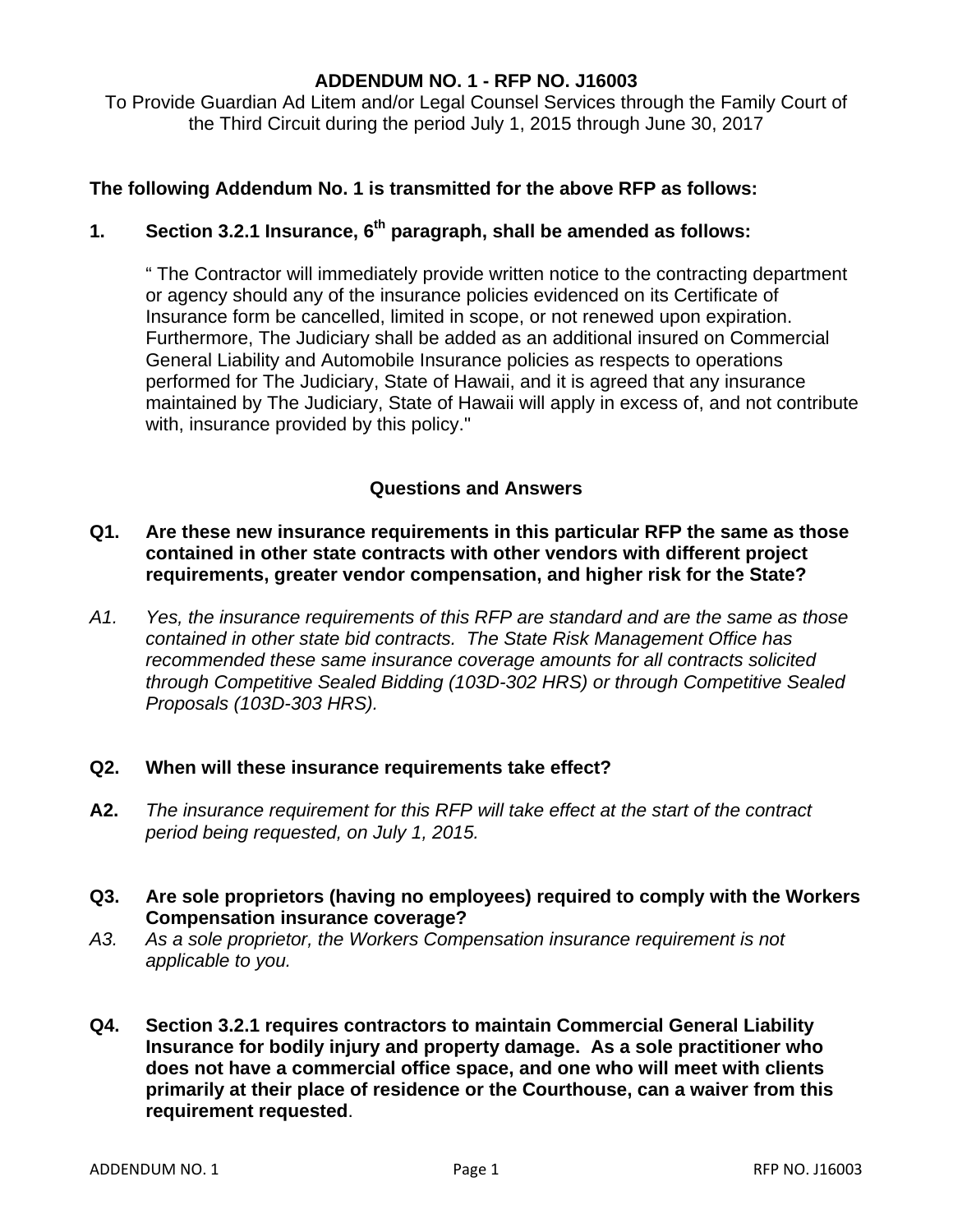#### **ADDENDUM NO. 1 - RFP NO. J16003**

To Provide Guardian Ad Litem and/or Legal Counsel Services through the Family Court of the Third Circuit during the period July 1, 2015 through June 30, 2017

## **The following Addendum No. 1 is transmitted for the above RFP as follows:**

# **1. Section 3.2.1 Insurance, 6th paragraph, shall be amended as follows:**

" The Contractor will immediately provide written notice to the contracting department or agency should any of the insurance policies evidenced on its Certificate of Insurance form be cancelled, limited in scope, or not renewed upon expiration. Furthermore, The Judiciary shall be added as an additional insured on Commercial General Liability and Automobile Insurance policies as respects to operations performed for The Judiciary, State of Hawaii, and it is agreed that any insurance maintained by The Judiciary, State of Hawaii will apply in excess of, and not contribute with, insurance provided by this policy."

## **Questions and Answers**

## **Q1. Are these new insurance requirements in this particular RFP the same as those contained in other state contracts with other vendors with different project requirements, greater vendor compensation, and higher risk for the State?**

*A1. Yes, the insurance requirements of this RFP are standard and are the same as those contained in other state bid contracts. The State Risk Management Office has recommended these same insurance coverage amounts for all contracts solicited through Competitive Sealed Bidding (103D-302 HRS) or through Competitive Sealed Proposals (103D-303 HRS).* 

## **Q2. When will these insurance requirements take effect?**

- **A2.** *The insurance requirement for this RFP will take effect at the start of the contract period being requested, on July 1, 2015.*
- **Q3. Are sole proprietors (having no employees) required to comply with the Workers Compensation insurance coverage?**
- *A3. As a sole proprietor, the Workers Compensation insurance requirement is not applicable to you.*
- **Q4. Section 3.2.1 requires contractors to maintain Commercial General Liability Insurance for bodily injury and property damage. As a sole practitioner who does not have a commercial office space, and one who will meet with clients primarily at their place of residence or the Courthouse, can a waiver from this requirement requested**.